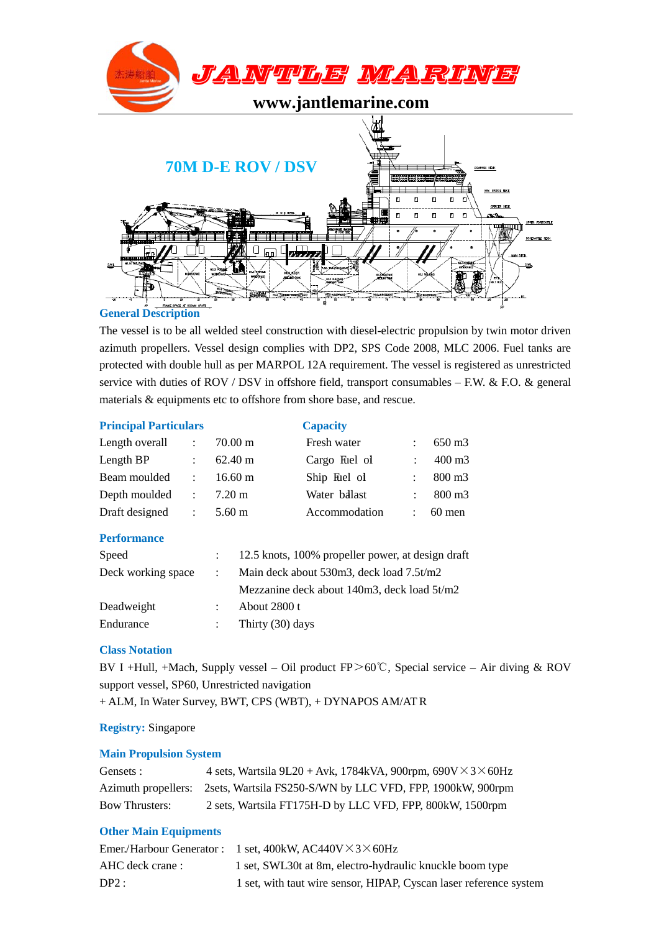

# **General Description**

The vessel is to be all welded steel construction with diesel-electric propulsion by twin motor driven azimuth propellers. Vessel design complies with DP2, SPS Code 2008, MLC 2006. Fuel tanks are protected with double hull as per MARPOL 12A requirement. The vessel is registered as unrestricted service with duties of ROV / DSV in offshore field, transport consumables – F.W. & F.O. & general materials & equipments etc to offshore from shore base, and rescue.

### **Principal Particulars Capacity**

| Length overall | $\therefore$ 70.00 m | Fresh water   | 650 m3              |
|----------------|----------------------|---------------|---------------------|
| Length BP      | $\therefore$ 62.40 m | Cargo Fuel of | 400 m3              |
| Beam moulded   | $16.60 \text{ m}$    | Ship Fuel of  | $\therefore$ 800 m3 |
| Depth moulded  | $\therefore$ 7.20 m  | Water ballast | $\therefore$ 800 m3 |
| Draft designed | $\therefore$ 5.60 m  | Accommodation | $\therefore$ 60 men |

### **Performance**

| Speed              | : 12.5 knots, 100% propeller power, at design draft |
|--------------------|-----------------------------------------------------|
| Deck working space | Main deck about 530m3, deck load 7.5t/m2            |
|                    | Mezzanine deck about 140m3, deck load 5t/m2         |
| Deadweight         | About $2800$ t                                      |
| Endurance          | Thirty (30) days                                    |

### **Class Notation**

BV I +Hull, +Mach, Supply vessel – Oil product  $FP > 60^{\circ}$ C, Special service – Air diving & ROV support vessel, SP60, Unrestricted navigation + ALM, In Water Survey, BWT, CPS (WBT), + DYNAPOS AM/AT R

**Registry:** Singapore

# **Main Propulsion System**

| Gensets :             | 4 sets, Wartsila 9L20 + Avk, 1784kVA, 900rpm, $690V \times 3 \times 60Hz$      |
|-----------------------|--------------------------------------------------------------------------------|
|                       | Azimuth propellers: 2sets, Wartsila FS250-S/WN by LLC VFD, FPP, 1900kW, 900rpm |
| <b>Bow Thrusters:</b> | 2 sets, Wartsila FT175H-D by LLC VFD, FPP, 800kW, 1500rpm                      |

# **Other Main Equipments**

|                  | Emer/Harbour Generator : 1 set, $400k$ W, $AC440V \times 3 \times 60Hz$ |
|------------------|-------------------------------------------------------------------------|
| AHC deck crane : | 1 set, SWL30t at 8m, electro-hydraulic knuckle boom type                |
| DP2:             | 1 set, with taut wire sensor, HIPAP, Cyscan laser reference system      |